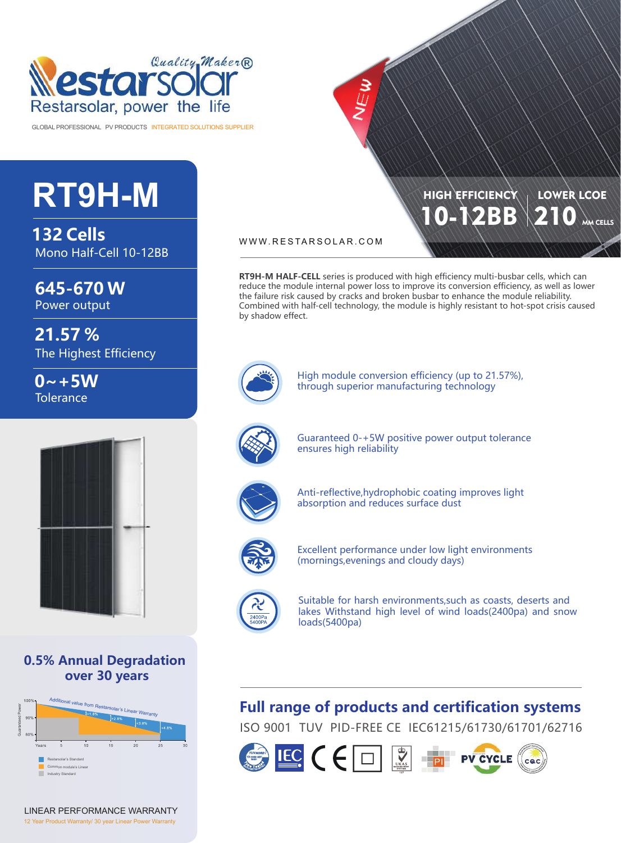

GLOBAL PROFESSIONAL PV PRODUCTS INTEGRATED SOLUTIONS SUPPLIER

# **RT9H-M**

**132 Cells** Mono Half-Cell 10-12BB

**645-670 W**

Power output

**21.57 %** The Highest Efficiency

 $0 - +5W$ **Tolerance** 



**0.5% Annual Degradation over 30 years**



LINEAR PERFORMANCE WARRANTY 12 Year Product Warranty/ 30 year Linear Power Warranty

WWW.RESTARSOLAR.COM

**RT9H-M HALF-CELL** series is produced with high efficiency multi-busbar cells, which can reduce the module internal power loss to improve its conversion efficiency, as well as lower the failure risk caused by cracks and broken busbar to enhance the module reliability. Combined with half-cell technology, the module is highly resistant to hot-spot crisis caused by shadow effect.

10-12BB

**HIGH EFFICIENCY** 

210 MM CELLS

LOWER LCOE

High module conversion efficiency (up to 21.57%), through superior manufacturing technology



Guaranteed 0-+5W positive power output tolerance ensures high reliability



Anti-reflective,hydrophobic coating improves light absorption and reduces surface dust



Excellent performance under low light environments (mornings,evenings and cloudy days)



Suitable for harsh environments,such as coasts, deserts and lakes Withstand high level of wind loads(2400pa) and snow loads(5400pa)

## **Full range of products and certification systems**

ISO 9001 TUV PID-FREE CE IEC61215/61730/61701/62716